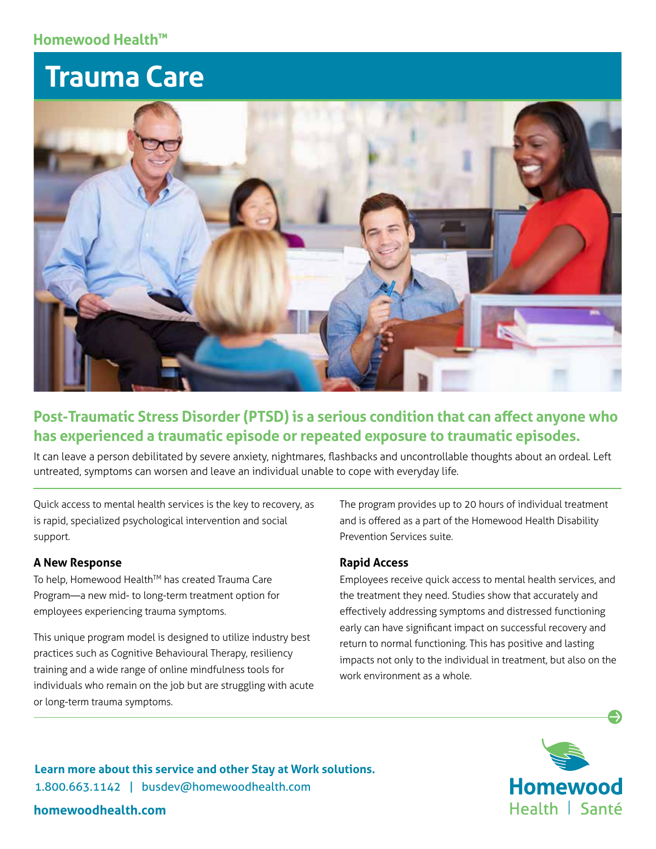## **Homewood Health™**

# **Trauma Care**



# **Post-Traumatic Stress Disorder (PTSD) is a serious condition that can affect anyone who has experienced a traumatic episode or repeated exposure to traumatic episodes.**

It can leave a person debilitated by severe anxiety, nightmares, flashbacks and uncontrollable thoughts about an ordeal. Left untreated, symptoms can worsen and leave an individual unable to cope with everyday life.

Quick access to mental health services is the key to recovery, as is rapid, specialized psychological intervention and social support.

### **A New Response**

To help, Homewood Health™ has created Trauma Care Program—a new mid- to long-term treatment option for employees experiencing trauma symptoms.

This unique program model is designed to utilize industry best practices such as Cognitive Behavioural Therapy, resiliency training and a wide range of online mindfulness tools for individuals who remain on the job but are struggling with acute or long-term trauma symptoms.

The program provides up to 20 hours of individual treatment and is offered as a part of the Homewood Health Disability Prevention Services suite.

#### **Rapid Access**

Employees receive quick access to mental health services, and the treatment they need. Studies show that accurately and effectively addressing symptoms and distressed functioning early can have significant impact on successful recovery and return to normal functioning. This has positive and lasting impacts not only to the individual in treatment, but also on the work environment as a whole.



**Learn more about this service and other Stay at Work solutions.** 1.800.663.1142 | busdev@homewoodhealth.com

## **homewoodhealth.com**